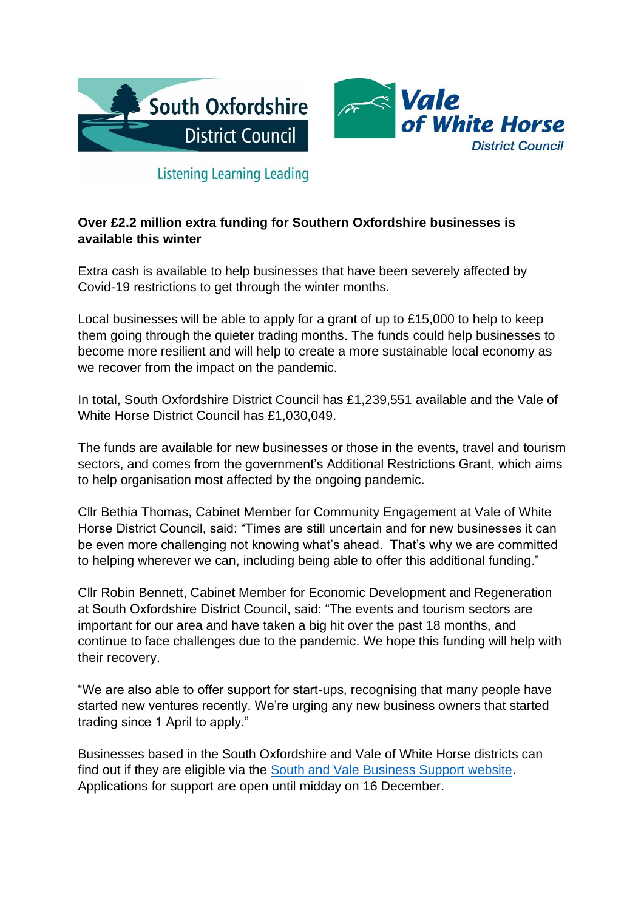



## **Listening Learning Leading**

## **Over £2.2 million extra funding for Southern Oxfordshire businesses is available this winter**

Extra cash is available to help businesses that have been severely affected by Covid-19 restrictions to get through the winter months.

Local businesses will be able to apply for a grant of up to £15,000 to help to keep them going through the quieter trading months. The funds could help businesses to become more resilient and will help to create a more sustainable local economy as we recover from the impact on the pandemic.

In total, South Oxfordshire District Council has £1,239,551 available and the Vale of White Horse District Council has £1,030,049.

The funds are available for new businesses or those in the events, travel and tourism sectors, and comes from the government's Additional Restrictions Grant, which aims to help organisation most affected by the ongoing pandemic.

Cllr Bethia Thomas, Cabinet Member for Community Engagement at Vale of White Horse District Council, said: "Times are still uncertain and for new businesses it can be even more challenging not knowing what's ahead. That's why we are committed to helping wherever we can, including being able to offer this additional funding."

Cllr Robin Bennett, Cabinet Member for Economic Development and Regeneration at South Oxfordshire District Council, said: "The events and tourism sectors are important for our area and have taken a big hit over the past 18 months, and continue to face challenges due to the pandemic. We hope this funding will help with their recovery.

"We are also able to offer support for start-ups, recognising that many people have started new ventures recently. We're urging any new business owners that started trading since 1 April to apply."

Businesses based in the South Oxfordshire and Vale of White Horse districts can find out if they are eligible via the [South and Vale Business Support website.](https://www.svbs.co.uk/winter-support-grants/) Applications for support are open until midday on 16 December.